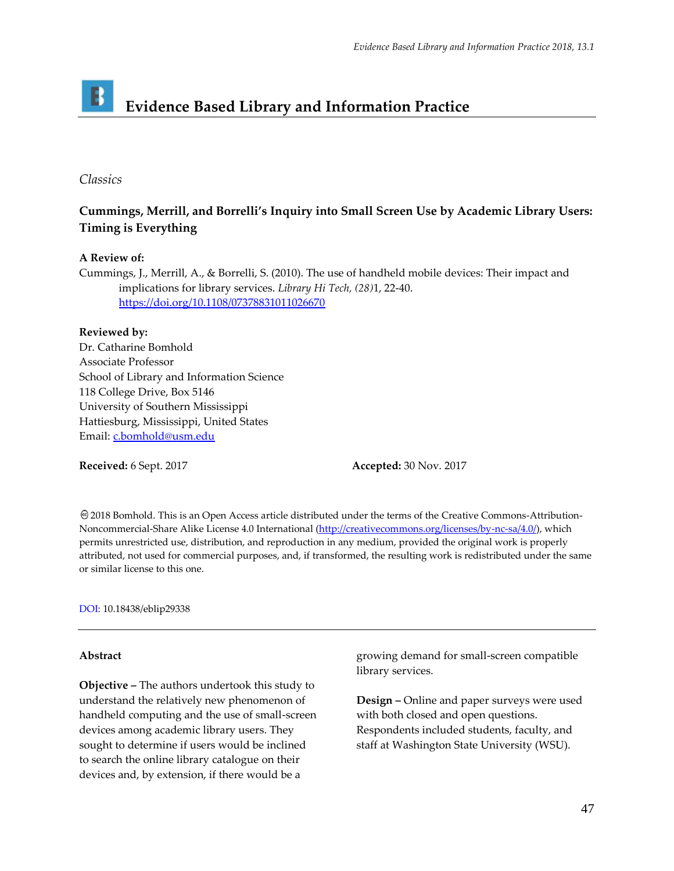# B **Evidence Based Library and Information Practice**

## *Classics*

## **Cummings, Merrill, and Borrelli's Inquiry into Small Screen Use by Academic Library Users: Timing is Everything**

## **A Review of:**

Cummings, J., Merrill, A., & Borrelli, S. (2010). The use of handheld mobile devices: Their impact and implications for library services. *Library Hi Tech, (28)*1, 22-40. <https://doi.org/10.1108/07378831011026670>

## **Reviewed by:**

Dr. Catharine Bomhold Associate Professor School of Library and Information Science 118 College Drive, Box 5146 University of Southern Mississippi Hattiesburg, Mississippi, United States Email: [c.bomhold@usm.edu](mailto:c.bomhold@usm.edu)

**Received:** 6 Sept. 2017 **Accepted:** 30 Nov. 2017

2018 Bomhold. This is an Open Access article distributed under the terms of the Creative Commons-Attribution-Noncommercial-Share Alike License 4.0 International [\(http://creativecommons.org/licenses/by-nc-sa/4.0/\)](http://creativecommons.org/licenses/by-nc-sa/4.0/), which permits unrestricted use, distribution, and reproduction in any medium, provided the original work is properly attributed, not used for commercial purposes, and, if transformed, the resulting work is redistributed under the same or similar license to this one.

DOI: 10.18438/eblip29338

### **Abstract**

**Objective –** The authors undertook this study to understand the relatively new phenomenon of handheld computing and the use of small-screen devices among academic library users. They sought to determine if users would be inclined to search the online library catalogue on their devices and, by extension, if there would be a

growing demand for small-screen compatible library services.

**Design –** Online and paper surveys were used with both closed and open questions. Respondents included students, faculty, and staff at Washington State University (WSU).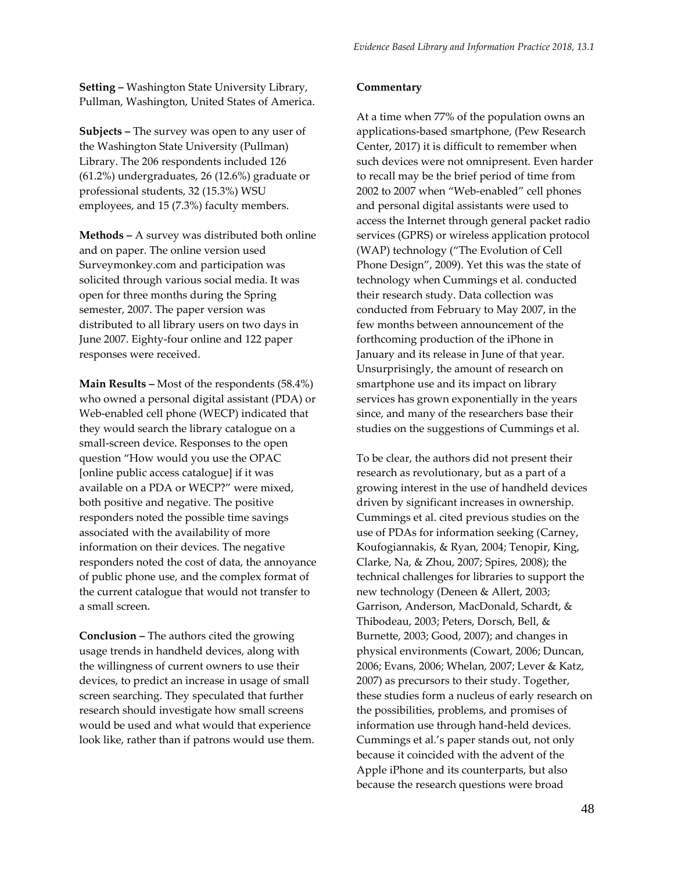**Setting –** Washington State University Library, Pullman, Washington, United States of America.

**Subjects –** The survey was open to any user of the Washington State University (Pullman) Library. The 206 respondents included 126 (61.2%) undergraduates, 26 (12.6%) graduate or professional students, 32 (15.3%) WSU employees, and 15 (7.3%) faculty members.

**Methods –** A survey was distributed both online and on paper. The online version used Surveymonkey.com and participation was solicited through various social media. It was open for three months during the Spring semester, 2007. The paper version was distributed to all library users on two days in June 2007. Eighty-four online and 122 paper responses were received.

**Main Results –** Most of the respondents (58.4%) who owned a personal digital assistant (PDA) or Web-enabled cell phone (WECP) indicated that they would search the library catalogue on a small-screen device. Responses to the open question "How would you use the OPAC [online public access catalogue] if it was available on a PDA or WECP?" were mixed, both positive and negative. The positive responders noted the possible time savings associated with the availability of more information on their devices. The negative responders noted the cost of data, the annoyance of public phone use, and the complex format of the current catalogue that would not transfer to a small screen.

**Conclusion –** The authors cited the growing usage trends in handheld devices, along with the willingness of current owners to use their devices, to predict an increase in usage of small screen searching. They speculated that further research should investigate how small screens would be used and what would that experience look like, rather than if patrons would use them.

#### **Commentary**

At a time when 77% of the population owns an applications-based smartphone, (Pew Research Center, 2017) it is difficult to remember when such devices were not omnipresent. Even harder to recall may be the brief period of time from 2002 to 2007 when "Web-enabled" cell phones and personal digital assistants were used to access the Internet through general packet radio services (GPRS) or wireless application protocol (WAP) technology ("The Evolution of Cell Phone Design", 2009). Yet this was the state of technology when Cummings et al. conducted their research study. Data collection was conducted from February to May 2007, in the few months between announcement of the forthcoming production of the iPhone in January and its release in June of that year. Unsurprisingly, the amount of research on smartphone use and its impact on library services has grown exponentially in the years since, and many of the researchers base their studies on the suggestions of Cummings et al.

To be clear, the authors did not present their research as revolutionary, but as a part of a growing interest in the use of handheld devices driven by significant increases in ownership. Cummings et al. cited previous studies on the use of PDAs for information seeking (Carney, Koufogiannakis, & Ryan, 2004; Tenopir, King, Clarke, Na, & Zhou, 2007; Spires, 2008); the technical challenges for libraries to support the new technology (Deneen & Allert, 2003; Garrison, Anderson, MacDonald, Schardt, & Thibodeau, 2003; Peters, Dorsch, Bell, & Burnette, 2003; Good, 2007); and changes in physical environments (Cowart, 2006; Duncan, 2006; Evans, 2006; Whelan, 2007; Lever & Katz, 2007) as precursors to their study. Together, these studies form a nucleus of early research on the possibilities, problems, and promises of information use through hand-held devices. Cummings et al.'s paper stands out, not only because it coincided with the advent of the Apple iPhone and its counterparts, but also because the research questions were broad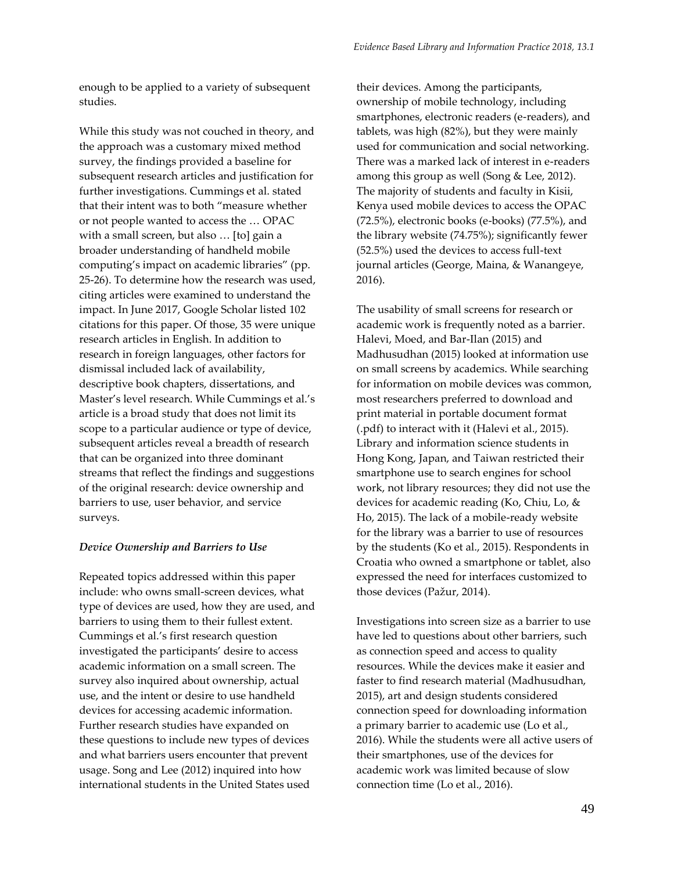enough to be applied to a variety of subsequent studies.

While this study was not couched in theory, and the approach was a customary mixed method survey, the findings provided a baseline for subsequent research articles and justification for further investigations. Cummings et al. stated that their intent was to both "measure whether or not people wanted to access the … OPAC with a small screen, but also … [to] gain a broader understanding of handheld mobile computing's impact on academic libraries" (pp. 25-26). To determine how the research was used, citing articles were examined to understand the impact. In June 2017, Google Scholar listed 102 citations for this paper. Of those, 35 were unique research articles in English. In addition to research in foreign languages, other factors for dismissal included lack of availability, descriptive book chapters, dissertations, and Master's level research. While Cummings et al.'s article is a broad study that does not limit its scope to a particular audience or type of device, subsequent articles reveal a breadth of research that can be organized into three dominant streams that reflect the findings and suggestions of the original research: device ownership and barriers to use, user behavior, and service surveys.

#### *Device Ownership and Barriers to Use*

Repeated topics addressed within this paper include: who owns small-screen devices, what type of devices are used, how they are used, and barriers to using them to their fullest extent. Cummings et al.'s first research question investigated the participants' desire to access academic information on a small screen. The survey also inquired about ownership, actual use, and the intent or desire to use handheld devices for accessing academic information. Further research studies have expanded on these questions to include new types of devices and what barriers users encounter that prevent usage. Song and Lee (2012) inquired into how international students in the United States used

their devices. Among the participants, ownership of mobile technology, including smartphones, electronic readers (e-readers), and tablets, was high (82%), but they were mainly used for communication and social networking. There was a marked lack of interest in e-readers among this group as well (Song & Lee, 2012). The majority of students and faculty in Kisii, Kenya used mobile devices to access the OPAC (72.5%), electronic books (e-books) (77.5%), and the library website (74.75%); significantly fewer (52.5%) used the devices to access full-text journal articles (George, Maina, & Wanangeye, 2016).

The usability of small screens for research or academic work is frequently noted as a barrier. Halevi, Moed, and Bar-Ilan (2015) and Madhusudhan (2015) looked at information use on small screens by academics. While searching for information on mobile devices was common, most researchers preferred to download and print material in portable document format (.pdf) to interact with it (Halevi et al., 2015). Library and information science students in Hong Kong, Japan, and Taiwan restricted their smartphone use to search engines for school work, not library resources; they did not use the devices for academic reading (Ko, Chiu, Lo, & Ho, 2015). The lack of a mobile-ready website for the library was a barrier to use of resources by the students (Ko et al., 2015). Respondents in Croatia who owned a smartphone or tablet, also expressed the need for interfaces customized to those devices (Pažur, 2014).

Investigations into screen size as a barrier to use have led to questions about other barriers, such as connection speed and access to quality resources. While the devices make it easier and faster to find research material (Madhusudhan, 2015), art and design students considered connection speed for downloading information a primary barrier to academic use (Lo et al., 2016). While the students were all active users of their smartphones, use of the devices for academic work was limited because of slow connection time (Lo et al., 2016).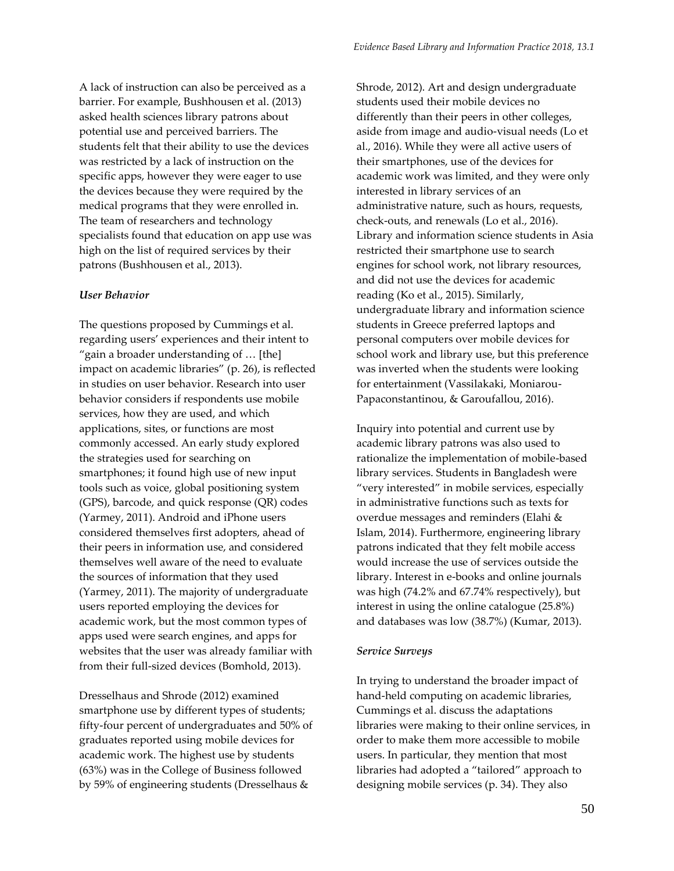A lack of instruction can also be perceived as a barrier. For example, Bushhousen et al. (2013) asked health sciences library patrons about potential use and perceived barriers. The students felt that their ability to use the devices was restricted by a lack of instruction on the specific apps, however they were eager to use the devices because they were required by the medical programs that they were enrolled in. The team of researchers and technology specialists found that education on app use was high on the list of required services by their patrons (Bushhousen et al., 2013).

#### *User Behavior*

The questions proposed by Cummings et al. regarding users' experiences and their intent to "gain a broader understanding of … [the] impact on academic libraries" (p. 26), is reflected in studies on user behavior. Research into user behavior considers if respondents use mobile services, how they are used, and which applications, sites, or functions are most commonly accessed. An early study explored the strategies used for searching on smartphones; it found high use of new input tools such as voice, global positioning system (GPS), barcode, and quick response (QR) codes (Yarmey, 2011). Android and iPhone users considered themselves first adopters, ahead of their peers in information use, and considered themselves well aware of the need to evaluate the sources of information that they used (Yarmey, 2011). The majority of undergraduate users reported employing the devices for academic work, but the most common types of apps used were search engines, and apps for websites that the user was already familiar with from their full-sized devices (Bomhold, 2013).

Dresselhaus and Shrode (2012) examined smartphone use by different types of students; fifty-four percent of undergraduates and 50% of graduates reported using mobile devices for academic work. The highest use by students (63%) was in the College of Business followed by 59% of engineering students (Dresselhaus &

Shrode, 2012). Art and design undergraduate students used their mobile devices no differently than their peers in other colleges, aside from image and audio-visual needs (Lo et al., 2016). While they were all active users of their smartphones, use of the devices for academic work was limited, and they were only interested in library services of an administrative nature, such as hours, requests, check-outs, and renewals (Lo et al., 2016). Library and information science students in Asia restricted their smartphone use to search engines for school work, not library resources, and did not use the devices for academic reading (Ko et al., 2015). Similarly, undergraduate library and information science students in Greece preferred laptops and personal computers over mobile devices for school work and library use, but this preference was inverted when the students were looking for entertainment (Vassilakaki, Moniarou-Papaconstantinou, & Garoufallou, 2016).

Inquiry into potential and current use by academic library patrons was also used to rationalize the implementation of mobile-based library services. Students in Bangladesh were "very interested" in mobile services, especially in administrative functions such as texts for overdue messages and reminders (Elahi & Islam, 2014). Furthermore, engineering library patrons indicated that they felt mobile access would increase the use of services outside the library. Interest in e-books and online journals was high (74.2% and 67.74% respectively), but interest in using the online catalogue (25.8%) and databases was low (38.7%) (Kumar, 2013).

#### *Service Surveys*

In trying to understand the broader impact of hand-held computing on academic libraries, Cummings et al. discuss the adaptations libraries were making to their online services, in order to make them more accessible to mobile users. In particular, they mention that most libraries had adopted a "tailored" approach to designing mobile services (p. 34). They also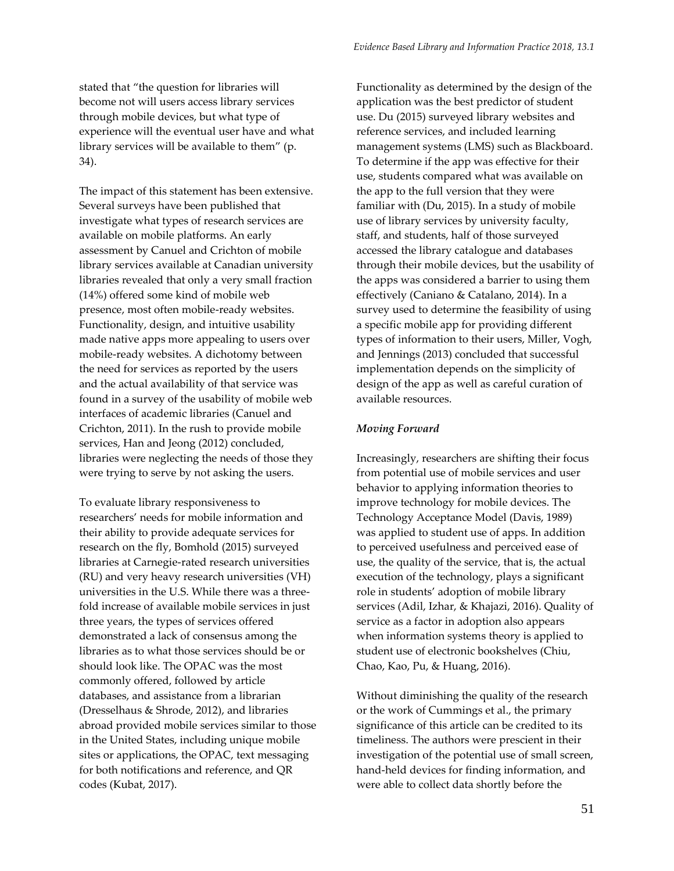stated that "the question for libraries will become not will users access library services through mobile devices, but what type of experience will the eventual user have and what library services will be available to them" (p. 34).

The impact of this statement has been extensive. Several surveys have been published that investigate what types of research services are available on mobile platforms. An early assessment by Canuel and Crichton of mobile library services available at Canadian university libraries revealed that only a very small fraction (14%) offered some kind of mobile web presence, most often mobile-ready websites. Functionality, design, and intuitive usability made native apps more appealing to users over mobile-ready websites. A dichotomy between the need for services as reported by the users and the actual availability of that service was found in a survey of the usability of mobile web interfaces of academic libraries (Canuel and Crichton, 2011). In the rush to provide mobile services, Han and Jeong (2012) concluded, libraries were neglecting the needs of those they were trying to serve by not asking the users.

To evaluate library responsiveness to researchers' needs for mobile information and their ability to provide adequate services for research on the fly, Bomhold (2015) surveyed libraries at Carnegie-rated research universities (RU) and very heavy research universities (VH) universities in the U.S. While there was a threefold increase of available mobile services in just three years, the types of services offered demonstrated a lack of consensus among the libraries as to what those services should be or should look like. The OPAC was the most commonly offered, followed by article databases, and assistance from a librarian (Dresselhaus & Shrode, 2012), and libraries abroad provided mobile services similar to those in the United States, including unique mobile sites or applications, the OPAC, text messaging for both notifications and reference, and QR codes (Kubat, 2017).

Functionality as determined by the design of the application was the best predictor of student use. Du (2015) surveyed library websites and reference services, and included learning management systems (LMS) such as Blackboard. To determine if the app was effective for their use, students compared what was available on the app to the full version that they were familiar with (Du, 2015). In a study of mobile use of library services by university faculty, staff, and students, half of those surveyed accessed the library catalogue and databases through their mobile devices, but the usability of the apps was considered a barrier to using them effectively (Caniano & Catalano, 2014). In a survey used to determine the feasibility of using a specific mobile app for providing different types of information to their users, Miller, Vogh, and Jennings (2013) concluded that successful implementation depends on the simplicity of design of the app as well as careful curation of available resources.

#### *Moving Forward*

Increasingly, researchers are shifting their focus from potential use of mobile services and user behavior to applying information theories to improve technology for mobile devices. The Technology Acceptance Model (Davis, 1989) was applied to student use of apps. In addition to perceived usefulness and perceived ease of use, the quality of the service, that is, the actual execution of the technology, plays a significant role in students' adoption of mobile library services (Adil, Izhar, & Khajazi, 2016). Quality of service as a factor in adoption also appears when information systems theory is applied to student use of electronic bookshelves (Chiu, Chao, Kao, Pu, & Huang, 2016).

Without diminishing the quality of the research or the work of Cummings et al., the primary significance of this article can be credited to its timeliness. The authors were prescient in their investigation of the potential use of small screen, hand-held devices for finding information, and were able to collect data shortly before the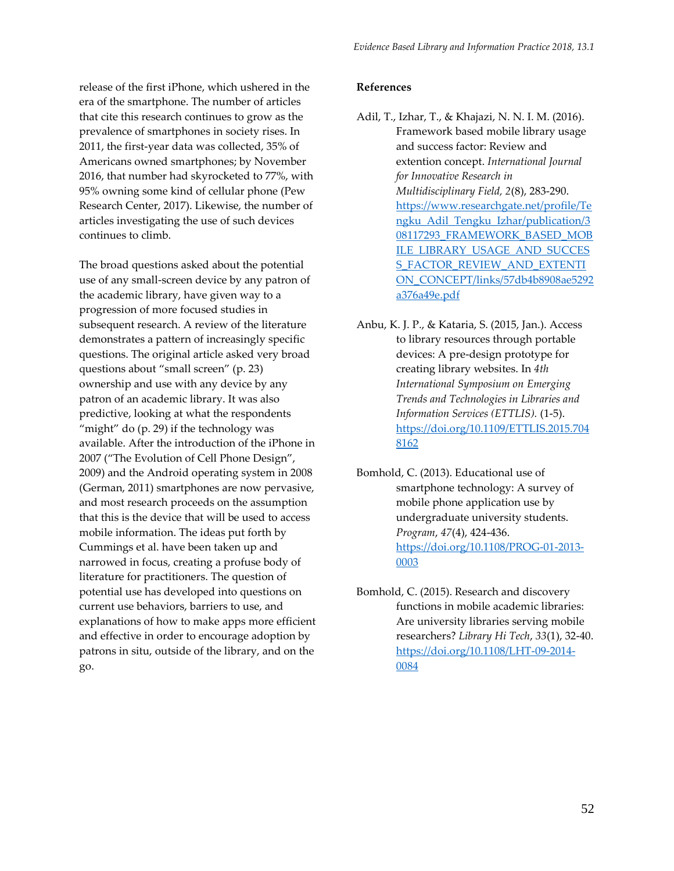release of the first iPhone, which ushered in the era of the smartphone. The number of articles that cite this research continues to grow as the prevalence of smartphones in society rises. In 2011, the first-year data was collected, 35% of Americans owned smartphones; by November 2016, that number had skyrocketed to 77%, with 95% owning some kind of cellular phone (Pew Research Center, 2017). Likewise, the number of articles investigating the use of such devices continues to climb.

The broad questions asked about the potential use of any small-screen device by any patron of the academic library, have given way to a progression of more focused studies in subsequent research. A review of the literature demonstrates a pattern of increasingly specific questions. The original article asked very broad questions about "small screen" (p. 23) ownership and use with any device by any patron of an academic library. It was also predictive, looking at what the respondents "might" do (p. 29) if the technology was available. After the introduction of the iPhone in 2007 ("The Evolution of Cell Phone Design", 2009) and the Android operating system in 2008 (German, 2011) smartphones are now pervasive, and most research proceeds on the assumption that this is the device that will be used to access mobile information. The ideas put forth by Cummings et al. have been taken up and narrowed in focus, creating a profuse body of literature for practitioners. The question of potential use has developed into questions on current use behaviors, barriers to use, and explanations of how to make apps more efficient and effective in order to encourage adoption by patrons in situ, outside of the library, and on the go.

#### **References**

- Adil, T., Izhar, T., & Khajazi, N. N. I. M. (2016). Framework based mobile library usage and success factor: Review and extention concept. *International Journal for Innovative Research in Multidisciplinary Field, 2*(8), 283-290. [https://www.researchgate.net/profile/Te](https://www.researchgate.net/profile/Tengku_Adil_Tengku_Izhar/publication/308117293_FRAMEWORK_BASED_MOBILE_LIBRARY_USAGE_AND_SUCCESS_FACTOR_REVIEW_AND_EXTENTION_CONCEPT/links/57db4b8908ae5292a376a49e.pdf) [ngku\\_Adil\\_Tengku\\_Izhar/publication/3](https://www.researchgate.net/profile/Tengku_Adil_Tengku_Izhar/publication/308117293_FRAMEWORK_BASED_MOBILE_LIBRARY_USAGE_AND_SUCCESS_FACTOR_REVIEW_AND_EXTENTION_CONCEPT/links/57db4b8908ae5292a376a49e.pdf) [08117293\\_FRAMEWORK\\_BASED\\_MOB](https://www.researchgate.net/profile/Tengku_Adil_Tengku_Izhar/publication/308117293_FRAMEWORK_BASED_MOBILE_LIBRARY_USAGE_AND_SUCCESS_FACTOR_REVIEW_AND_EXTENTION_CONCEPT/links/57db4b8908ae5292a376a49e.pdf) [ILE\\_LIBRARY\\_USAGE\\_AND\\_SUCCES](https://www.researchgate.net/profile/Tengku_Adil_Tengku_Izhar/publication/308117293_FRAMEWORK_BASED_MOBILE_LIBRARY_USAGE_AND_SUCCESS_FACTOR_REVIEW_AND_EXTENTION_CONCEPT/links/57db4b8908ae5292a376a49e.pdf) [S\\_FACTOR\\_REVIEW\\_AND\\_EXTENTI](https://www.researchgate.net/profile/Tengku_Adil_Tengku_Izhar/publication/308117293_FRAMEWORK_BASED_MOBILE_LIBRARY_USAGE_AND_SUCCESS_FACTOR_REVIEW_AND_EXTENTION_CONCEPT/links/57db4b8908ae5292a376a49e.pdf) [ON\\_CONCEPT/links/57db4b8908ae5292](https://www.researchgate.net/profile/Tengku_Adil_Tengku_Izhar/publication/308117293_FRAMEWORK_BASED_MOBILE_LIBRARY_USAGE_AND_SUCCESS_FACTOR_REVIEW_AND_EXTENTION_CONCEPT/links/57db4b8908ae5292a376a49e.pdf) [a376a49e.pdf](https://www.researchgate.net/profile/Tengku_Adil_Tengku_Izhar/publication/308117293_FRAMEWORK_BASED_MOBILE_LIBRARY_USAGE_AND_SUCCESS_FACTOR_REVIEW_AND_EXTENTION_CONCEPT/links/57db4b8908ae5292a376a49e.pdf)
- Anbu, K. J. P., & Kataria, S. (2015, Jan.). Access to library resources through portable devices: A pre-design prototype for creating library websites. In *4th International Symposium on Emerging Trends and Technologies in Libraries and Information Services (ETTLIS).* (1-5). [https://doi.org/10.1109/ETTLIS.2015.704](https://doi.org/10.1109/ETTLIS.2015.7048162) [8162](https://doi.org/10.1109/ETTLIS.2015.7048162)
- Bomhold, C. (2013). Educational use of smartphone technology: A survey of mobile phone application use by undergraduate university students. *Program*, *47*(4), 424-436. [https://doi.org/10.1108/PROG-01-2013-](https://doi.org/10.1108/PROG-01-2013-0003) [0003](https://doi.org/10.1108/PROG-01-2013-0003)
- Bomhold, C. (2015). Research and discovery functions in mobile academic libraries: Are university libraries serving mobile researchers? *Library Hi Tech*, *33*(1), 32-40. [https://doi.org/10.1108/LHT-09-2014-](https://doi.org/10.1108/LHT-09-2014-0084) [0084](https://doi.org/10.1108/LHT-09-2014-0084)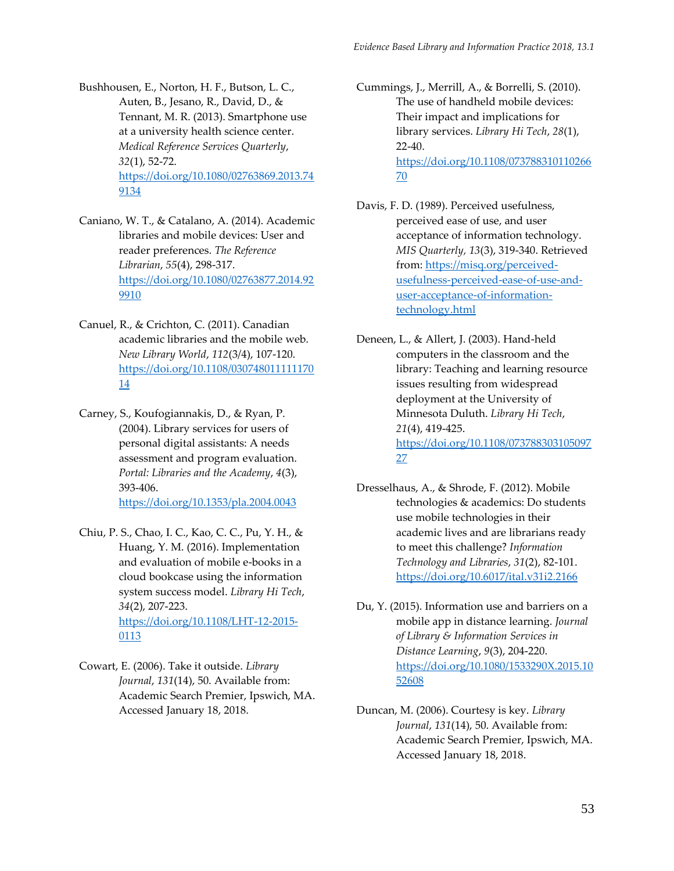- Bushhousen, E., Norton, H. F., Butson, L. C., Auten, B., Jesano, R., David, D., & Tennant, M. R. (2013). Smartphone use at a university health science center. *Medical Reference Services Quarterly*, *32*(1), 52-72. [https://doi.org/10.1080/02763869.2013.74](https://doi.org/10.1080/02763869.2013.749134) [9134](https://doi.org/10.1080/02763869.2013.749134)
- Caniano, W. T., & Catalano, A. (2014). Academic libraries and mobile devices: User and reader preferences. *The Reference Librarian*, *55*(4), 298-317. [https://doi.org/10.1080/02763877.2014.92](https://doi.org/10.1080/02763877.2014.929910) [9910](https://doi.org/10.1080/02763877.2014.929910)
- Canuel, R., & Crichton, C. (2011). Canadian academic libraries and the mobile web. *New Library World*, *112*(3/4), 107-120. [https://doi.org/10.1108/030748011111170](https://doi.org/10.1108/03074801111117014) [14](https://doi.org/10.1108/03074801111117014)
- Carney, S., Koufogiannakis, D., & Ryan, P. (2004). Library services for users of personal digital assistants: A needs assessment and program evaluation. *Portal: Libraries and the Academy*, *4*(3), 393-406. <https://doi.org/10.1353/pla.2004.0043>
- Chiu, P. S., Chao, I. C., Kao, C. C., Pu, Y. H., & Huang, Y. M. (2016). Implementation and evaluation of mobile e-books in a cloud bookcase using the information system success model. *Library Hi Tech*, *34*(2), 207-223. [https://doi.org/10.1108/LHT-12-2015-](https://doi.org/10.1108/LHT-12-2015-0113) [0113](https://doi.org/10.1108/LHT-12-2015-0113)
- Cowart, E. (2006). Take it outside. *Library Journal*, *131*(14), 50. Available from: Academic Search Premier, Ipswich, MA. Accessed January 18, 2018.

Cummings, J., Merrill, A., & Borrelli, S. (2010). The use of handheld mobile devices: Their impact and implications for library services. *Library Hi Tech*, *28*(1), 22-40. [https://doi.org/10.1108/073788310110266](https://doi.org/10.1108/07378831011026670) [70](https://doi.org/10.1108/07378831011026670)

- Davis, F. D. (1989). Perceived usefulness, perceived ease of use, and user acceptance of information technology. *MIS Quarterly, 13*(3), 319-340. Retrieved from[: https://misq.org/perceived](https://misq.org/perceived-usefulness-perceived-ease-of-use-and-user-acceptance-of-information-technology.html)[usefulness-perceived-ease-of-use-and](https://misq.org/perceived-usefulness-perceived-ease-of-use-and-user-acceptance-of-information-technology.html)[user-acceptance-of-information](https://misq.org/perceived-usefulness-perceived-ease-of-use-and-user-acceptance-of-information-technology.html)[technology.html](https://misq.org/perceived-usefulness-perceived-ease-of-use-and-user-acceptance-of-information-technology.html)
- Deneen, L., & Allert, J. (2003). Hand-held computers in the classroom and the library: Teaching and learning resource issues resulting from widespread deployment at the University of Minnesota Duluth. *Library Hi Tech*, *21*(4), 419-425. [https://doi.org/10.1108/073788303105097](https://doi.org/10.1108/07378830310509727) [27](https://doi.org/10.1108/07378830310509727)
- Dresselhaus, A., & Shrode, F. (2012). Mobile technologies & academics: Do students use mobile technologies in their academic lives and are librarians ready to meet this challenge? *Information Technology and Libraries*, *31*(2), 82-101. <https://doi.org/10.6017/ital.v31i2.2166>
- Du, Y. (2015). Information use and barriers on a mobile app in distance learning. *Journal of Library & Information Services in Distance Learning*, *9*(3), 204-220. [https://doi.org/10.1080/1533290X.2015.10](https://doi.org/10.1080/1533290X.2015.1052608) [52608](https://doi.org/10.1080/1533290X.2015.1052608)
- Duncan, M. (2006). Courtesy is key. *Library Journal*, *131*(14), 50. Available from: Academic Search Premier, Ipswich, MA. Accessed January 18, 2018.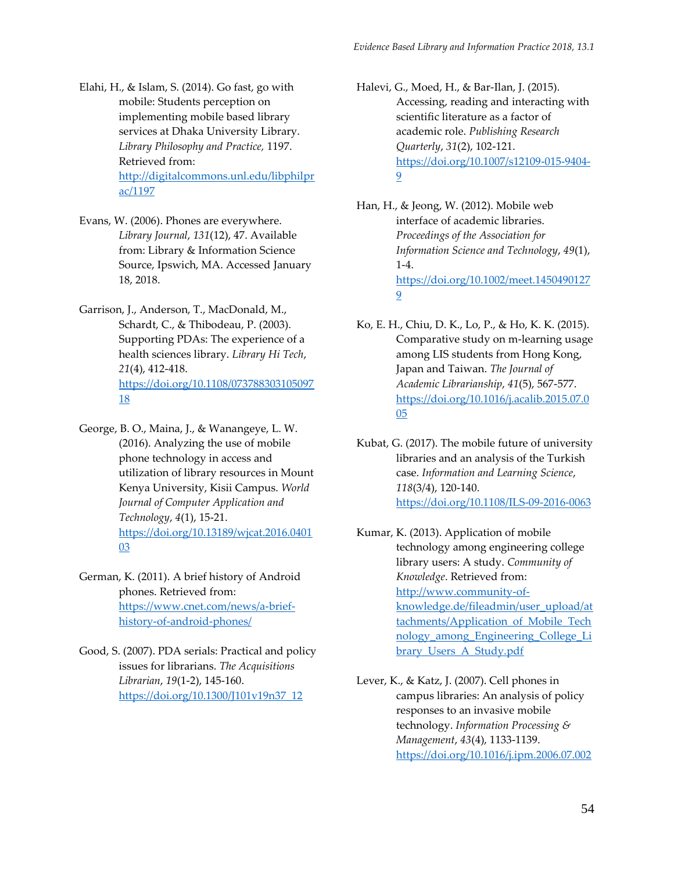- Elahi, H., & Islam, S. (2014). Go fast, go with mobile: Students perception on implementing mobile based library services at Dhaka University Library. *Library Philosophy and Practice,* 1197. Retrieved from: [http://digitalcommons.unl.edu/libphilpr](http://digitalcommons.unl.edu/libphilprac/1197) [ac/1197](http://digitalcommons.unl.edu/libphilprac/1197)
- Evans, W. (2006). Phones are everywhere. *Library Journal*, *131*(12), 47. Available from: Library & Information Science Source, Ipswich, MA. Accessed January 18, 2018.
- Garrison, J., Anderson, T., MacDonald, M., Schardt, C., & Thibodeau, P. (2003). Supporting PDAs: The experience of a health sciences library. *Library Hi Tech*, *21*(4), 412-418. [https://doi.org/10.1108/073788303105097](https://doi.org/10.1108/07378830310509718) [18](https://doi.org/10.1108/07378830310509718)
- George, B. O., Maina, J., & Wanangeye, L. W. (2016). Analyzing the use of mobile phone technology in access and utilization of library resources in Mount Kenya University, Kisii Campus. *World Journal of Computer Application and Technology*, *4*(1), 15-21. [https://doi.org/10.13189/wjcat.2016.0401](https://doi.org/10.13189/wjcat.2016.040103) [03](https://doi.org/10.13189/wjcat.2016.040103)
- German, K. (2011). A brief history of Android phones. Retrieved from: [https://www.cnet.com/news/a-brief](https://www.cnet.com/news/a-brief-history-of-android-phones/)[history-of-android-phones/](https://www.cnet.com/news/a-brief-history-of-android-phones/)
- Good, S. (2007). PDA serials: Practical and policy issues for librarians. *The Acquisitions Librarian*, *19*(1-2), 145-160. [https://doi.org/10.1300/J101v19n37\\_12](https://doi.org/10.1300/J101v19n37_12)

Halevi, G., Moed, H., & Bar-Ilan, J. (2015). Accessing, reading and interacting with scientific literature as a factor of academic role. *Publishing Research Quarterly*, *31*(2), 102-121. [https://doi.org/10.1007/s12109-015-9404-](https://doi.org/10.1007/s12109-015-9404-9) [9](https://doi.org/10.1007/s12109-015-9404-9)

Han, H., & Jeong, W. (2012). Mobile web interface of academic libraries. *Proceedings of the Association for Information Science and Technology*, *49*(1), 1-4. [https://doi.org/10.1002/meet.1450490127](https://doi.org/10.1002/meet.14504901279) [9](https://doi.org/10.1002/meet.14504901279)

Ko, E. H., Chiu, D. K., Lo, P., & Ho, K. K. (2015). Comparative study on m-learning usage among LIS students from Hong Kong, Japan and Taiwan. *The Journal of Academic Librarianship*, *41*(5), 567-577. [https://doi.org/10.1016/j.acalib.2015.07.0](https://doi.org/10.1016/j.acalib.2015.07.005) [05](https://doi.org/10.1016/j.acalib.2015.07.005)

Kubat, G. (2017). The mobile future of university libraries and an analysis of the Turkish case. *Information and Learning Science*, *118*(3/4), 120-140. <https://doi.org/10.1108/ILS-09-2016-0063>

- Kumar, K. (2013). Application of mobile technology among engineering college library users: A study. *Community of Knowledge*. Retrieved from: [http://www.community-of](http://www.community-of-knowledge.de/fileadmin/user_upload/attachments/Application_of_Mobile_Technology_among_Engineering_College_Library_Users_A_Study.pdf)[knowledge.de/fileadmin/user\\_upload/at](http://www.community-of-knowledge.de/fileadmin/user_upload/attachments/Application_of_Mobile_Technology_among_Engineering_College_Library_Users_A_Study.pdf) tachments/Application of Mobile Tech [nology\\_among\\_Engineering\\_College\\_Li](http://www.community-of-knowledge.de/fileadmin/user_upload/attachments/Application_of_Mobile_Technology_among_Engineering_College_Library_Users_A_Study.pdf) brary Users A Study.pdf
- Lever, K., & Katz, J. (2007). Cell phones in campus libraries: An analysis of policy responses to an invasive mobile technology. *Information Processing & Management*, *43*(4), 1133-1139. <https://doi.org/10.1016/j.ipm.2006.07.002>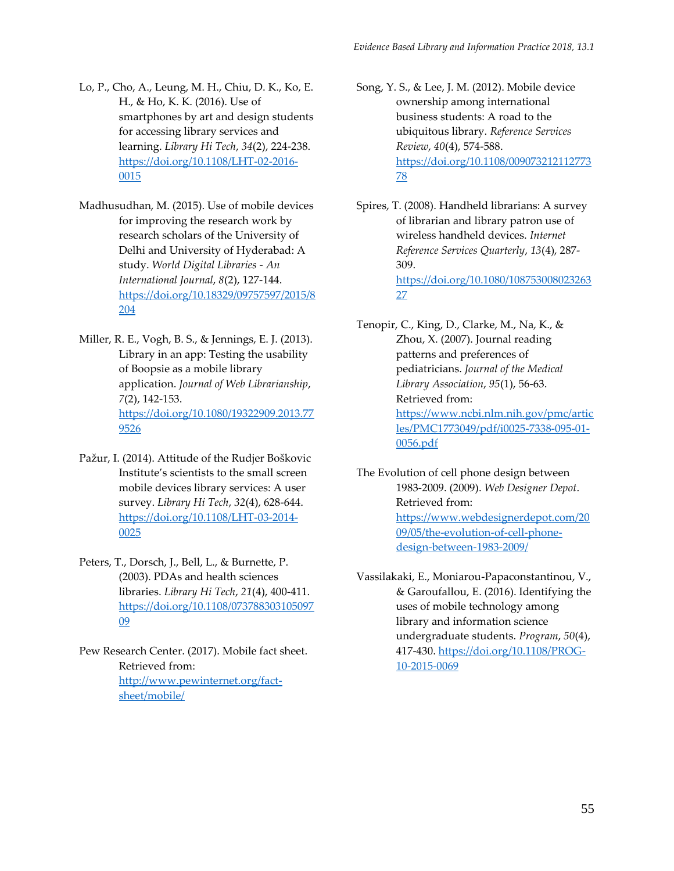- Lo, P., Cho, A., Leung, M. H., Chiu, D. K., Ko, E. H., & Ho, K. K. (2016). Use of smartphones by art and design students for accessing library services and learning. *Library Hi Tech*, *34*(2), 224-238. [https://doi.org/10.1108/LHT-02-2016-](https://doi.org/10.1108/LHT-02-2016-0015) [0015](https://doi.org/10.1108/LHT-02-2016-0015)
- Madhusudhan, M. (2015). Use of mobile devices for improving the research work by research scholars of the University of Delhi and University of Hyderabad: A study. *World Digital Libraries - An International Journal*, *8*(2), 127-144. [https://doi.org/10.18329/09757597/2015/8](https://doi.org/10.18329/09757597/2015/8204) [204](https://doi.org/10.18329/09757597/2015/8204)
- Miller, R. E., Vogh, B. S., & Jennings, E. J. (2013). Library in an app: Testing the usability of Boopsie as a mobile library application. *Journal of Web Librarianship*, *7*(2), 142-153. [https://doi.org/10.1080/19322909.2013.77](https://doi.org/10.1080/19322909.2013.779526) [9526](https://doi.org/10.1080/19322909.2013.779526)
- Pažur, I. (2014). Attitude of the Rudjer Boškovic Institute's scientists to the small screen mobile devices library services: A user survey. *Library Hi Tech*, *32*(4), 628-644. [https://doi.org/10.1108/LHT-03-2014-](https://doi.org/10.1108/LHT-03-2014-0025) [0025](https://doi.org/10.1108/LHT-03-2014-0025)
- Peters, T., Dorsch, J., Bell, L., & Burnette, P. (2003). PDAs and health sciences libraries. *Library Hi Tech*, *21*(4), 400-411. [https://doi.org/10.1108/073788303105097](https://doi.org/10.1108/07378830310509709) [09](https://doi.org/10.1108/07378830310509709)

Pew Research Center. (2017). Mobile fact sheet. Retrieved from: [http://www.pewinternet.org/fact](http://www.pewinternet.org/fact-sheet/mobile/)[sheet/mobile/](http://www.pewinternet.org/fact-sheet/mobile/)

Song, Y. S., & Lee, J. M. (2012). Mobile device ownership among international business students: A road to the ubiquitous library. *Reference Services Review*, *40*(4), 574-588. [https://doi.org/10.1108/009073212112773](https://doi.org/10.1108/00907321211277378) [78](https://doi.org/10.1108/00907321211277378)

Spires, T. (2008). Handheld librarians: A survey of librarian and library patron use of wireless handheld devices. *Internet Reference Services Quarterly*, *13*(4), 287- 309. [https://doi.org/10.1080/108753008023263](https://doi.org/10.1080/10875300802326327) [27](https://doi.org/10.1080/10875300802326327)

Tenopir, C., King, D., Clarke, M., Na, K., & Zhou, X. (2007). Journal reading patterns and preferences of pediatricians. *Journal of the Medical Library Association*, *95*(1), 56-63. Retrieved from: [https://www.ncbi.nlm.nih.gov/pmc/artic](https://www.ncbi.nlm.nih.gov/pmc/articles/PMC1773049/pdf/i0025-7338-095-01-0056.pdf) [les/PMC1773049/pdf/i0025-7338-095-01-](https://www.ncbi.nlm.nih.gov/pmc/articles/PMC1773049/pdf/i0025-7338-095-01-0056.pdf) [0056.pdf](https://www.ncbi.nlm.nih.gov/pmc/articles/PMC1773049/pdf/i0025-7338-095-01-0056.pdf)

- The Evolution of cell phone design between 1983-2009. (2009). *Web Designer Depot*. Retrieved from: [https://www.webdesignerdepot.com/20](https://www.webdesignerdepot.com/2009/05/the-evolution-of-cell-phone-design-between-1983-2009/) [09/05/the-evolution-of-cell-phone](https://www.webdesignerdepot.com/2009/05/the-evolution-of-cell-phone-design-between-1983-2009/)[design-between-1983-2009/](https://www.webdesignerdepot.com/2009/05/the-evolution-of-cell-phone-design-between-1983-2009/)
- Vassilakaki, E., Moniarou-Papaconstantinou, V., & Garoufallou, E. (2016). Identifying the uses of mobile technology among library and information science undergraduate students. *Program*, *50*(4), 417-430[. https://doi.org/10.1108/PROG-](https://doi.org/10.1108/PROG-10-2015-0069)[10-2015-0069](https://doi.org/10.1108/PROG-10-2015-0069)